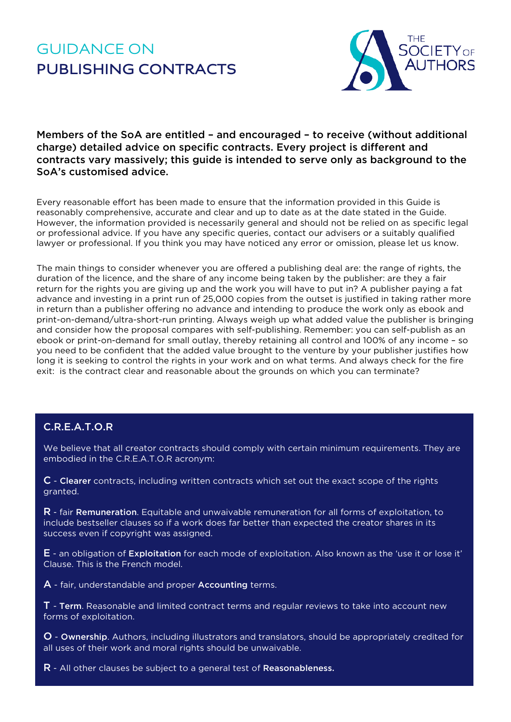# GUIDANCE ON **PUBLISHING CONTRACTS**



Members of the SoA are entitled – and encouraged – to receive (without additional charge) detailed advice on specific contracts. Every project is different and contracts vary massively; this guide is intended to serve only as background to the SoA's customised advice.

Every reasonable effort has been made to ensure that the information provided in this Guide is reasonably comprehensive, accurate and clear and up to date as at the date stated in the Guide. However, the information provided is necessarily general and should not be relied on as specific legal or professional advice. If you have any specific queries, contact our advisers or a suitably qualified lawyer or professional. If you think you may have noticed any error or omission, please let us know.

The main things to consider whenever you are offered a publishing deal are: the range of rights, the duration of the licence, and the share of any income being taken by the publisher: are they a fair return for the rights you are giving up and the work you will have to put in? A publisher paying a fat advance and investing in a print run of 25,000 copies from the outset is justified in taking rather more in return than a publisher offering no advance and intending to produce the work only as ebook and print-on-demand/ultra-short-run printing. Always weigh up what added value the publisher is bringing and consider how the proposal compares with self-publishing. Remember: you can self-publish as an ebook or print-on-demand for small outlay, thereby retaining all control and 100% of any income – so you need to be confident that the added value brought to the venture by your publisher justifies how long it is seeking to control the rights in your work and on what terms. And always check for the fire exit: is the contract clear and reasonable about the grounds on which you can terminate?

## C.R.E.A.T.O.R

We believe that all creator contracts should comply with certain minimum requirements. They are embodied in the C.R.E.A.T.O.R acronym:

C - Clearer contracts, including written contracts which set out the exact scope of the rights granted.

R - fair Remuneration. Equitable and unwaivable remuneration for all forms of exploitation, to include bestseller clauses so if a work does far better than expected the creator shares in its success even if copyright was assigned.

E - an obligation of Exploitation for each mode of exploitation. Also known as the 'use it or lose it' Clause. This is the French model.

A - fair, understandable and proper Accounting terms.

T - Term. Reasonable and limited contract terms and regular reviews to take into account new forms of exploitation.

O - Ownership. Authors, including illustrators and translators, should be appropriately credited for all uses of their work and moral rights should be unwaivable.

R - All other clauses be subject to a general test of Reasonableness.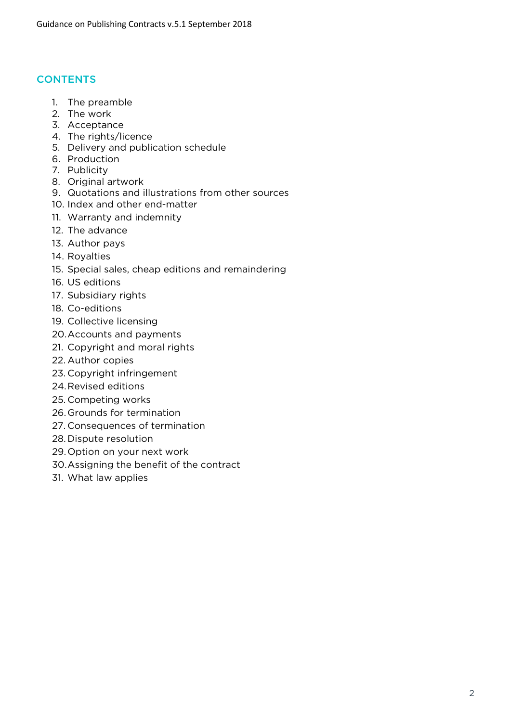## **CONTENTS**

- 1. The preamble
- 2. The work
- 3. Acceptance
- 4. The rights/licence
- 5. Delivery and publication schedule
- 6. Production
- 7. Publicity
- 8. Original artwork
- 9. Quotations and illustrations from other sources
- 10. Index and other end-matter
- 11. Warranty and indemnity
- 12. The advance
- 13. Author pays
- 14. Royalties
- 15. Special sales, cheap editions and remaindering
- 16. US editions
- 17. Subsidiary rights
- 18. Co-editions
- 19. Collective licensing
- 20.Accounts and payments
- 21. Copyright and moral rights
- 22. Author copies
- 23. Copyright infringement
- 24.Revised editions
- 25. Competing works
- 26.Grounds for termination
- 27. Consequences of termination
- 28. Dispute resolution
- 29.Option on your next work
- 30.Assigning the benefit of the contract
- 31. What law applies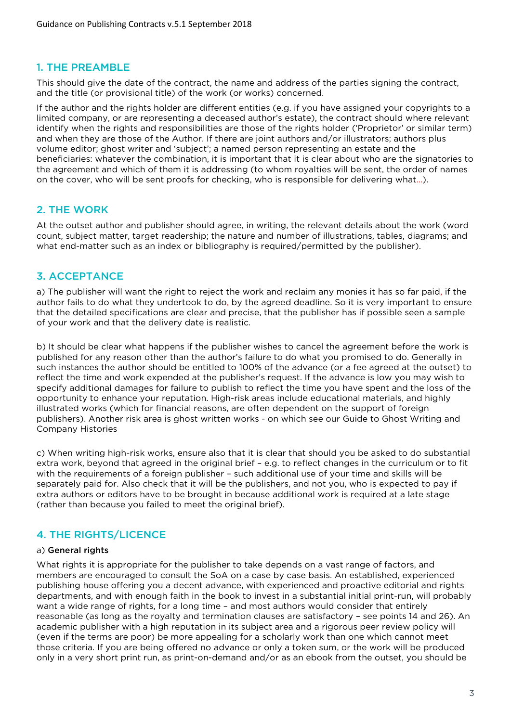#### 1. THE PREAMBLE

This should give the date of the contract, the name and address of the parties signing the contract, and the title (or provisional title) of the work (or works) concerned.

If the author and the rights holder are different entities (e.g. if you have assigned your copyrights to a limited company, or are representing a deceased author's estate), the contract should where relevant identify when the rights and responsibilities are those of the rights holder ('Proprietor' or similar term) and when they are those of the Author. If there are joint authors and/or illustrators; authors plus volume editor; ghost writer and 'subject'; a named person representing an estate and the beneficiaries: whatever the combination, it is important that it is clear about who are the signatories to the agreement and which of them it is addressing (to whom royalties will be sent, the order of names on the cover, who will be sent proofs for checking, who is responsible for delivering what…).

## 2. THE WORK

At the outset author and publisher should agree, in writing, the relevant details about the work (word count, subject matter, target readership; the nature and number of illustrations, tables, diagrams; and what end-matter such as an index or bibliography is required/permitted by the publisher).

## 3. ACCEPTANCE

a) The publisher will want the right to reject the work and reclaim any monies it has so far paid, if the author fails to do what they undertook to do, by the agreed deadline. So it is very important to ensure that the detailed specifications are clear and precise, that the publisher has if possible seen a sample of your work and that the delivery date is realistic.

b) It should be clear what happens if the publisher wishes to cancel the agreement before the work is published for any reason other than the author's failure to do what you promised to do. Generally in such instances the author should be entitled to 100% of the advance (or a fee agreed at the outset) to reflect the time and work expended at the publisher's request. If the advance is low you may wish to specify additional damages for failure to publish to reflect the time you have spent and the loss of the opportunity to enhance your reputation. High-risk areas include educational materials, and highly illustrated works (which for financial reasons, are often dependent on the support of foreign publishers). Another risk area is ghost written works - on which see our Guide to Ghost Writing and Company Histories

c) When writing high-risk works, ensure also that it is clear that should you be asked to do substantial extra work, beyond that agreed in the original brief – e.g. to reflect changes in the curriculum or to fit with the requirements of a foreign publisher – such additional use of your time and skills will be separately paid for. Also check that it will be the publishers, and not you, who is expected to pay if extra authors or editors have to be brought in because additional work is required at a late stage (rather than because you failed to meet the original brief).

# 4. THE RIGHTS/LICENCE

#### a) General rights

What rights it is appropriate for the publisher to take depends on a vast range of factors, and members are encouraged to consult the SoA on a case by case basis. An established, experienced publishing house offering you a decent advance, with experienced and proactive editorial and rights departments, and with enough faith in the book to invest in a substantial initial print-run, will probably want a wide range of rights, for a long time – and most authors would consider that entirely reasonable (as long as the royalty and termination clauses are satisfactory – see points 14 and 26). An academic publisher with a high reputation in its subject area and a rigorous peer review policy will (even if the terms are poor) be more appealing for a scholarly work than one which cannot meet those criteria. If you are being offered no advance or only a token sum, or the work will be produced only in a very short print run, as print-on-demand and/or as an ebook from the outset, you should be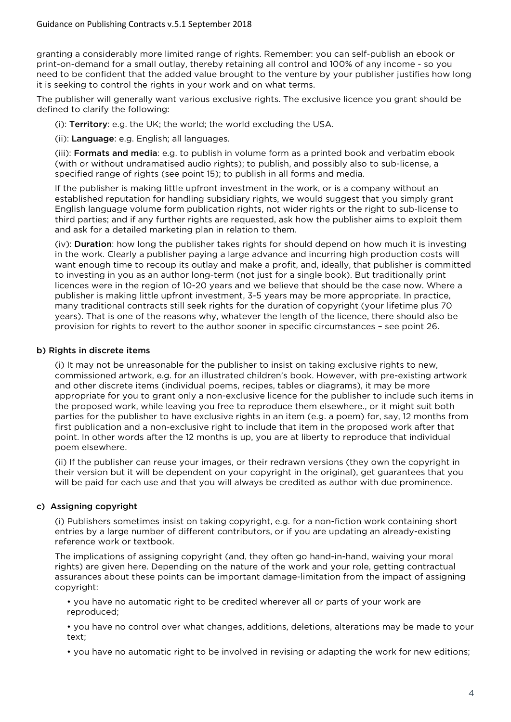granting a considerably more limited range of rights. Remember: you can self-publish an ebook or print-on-demand for a small outlay, thereby retaining all control and 100% of any income - so you need to be confident that the added value brought to the venture by your publisher justifies how long it is seeking to control the rights in your work and on what terms.

The publisher will generally want various exclusive rights. The exclusive licence you grant should be defined to clarify the following:

(i): Territory: e.g. the UK; the world; the world excluding the USA.

(ii): Language: e.g. English; all languages.

(iii): Formats and media: e.g. to publish in volume form as a printed book and verbatim ebook (with or without undramatised audio rights); to publish, and possibly also to sub-license, a specified range of rights (see point 15); to publish in all forms and media.

If the publisher is making little upfront investment in the work, or is a company without an established reputation for handling subsidiary rights, we would suggest that you simply grant English language volume form publication rights, not wider rights or the right to sub-license to third parties; and if any further rights are requested, ask how the publisher aims to exploit them and ask for a detailed marketing plan in relation to them.

(iv): Duration: how long the publisher takes rights for should depend on how much it is investing in the work. Clearly a publisher paying a large advance and incurring high production costs will want enough time to recoup its outlay and make a profit, and, ideally, that publisher is committed to investing in you as an author long-term (not just for a single book). But traditionally print licences were in the region of 10-20 years and we believe that should be the case now. Where a publisher is making little upfront investment, 3-5 years may be more appropriate. In practice, many traditional contracts still seek rights for the duration of copyright (your lifetime plus 70 years). That is one of the reasons why, whatever the length of the licence, there should also be provision for rights to revert to the author sooner in specific circumstances – see point 26.

#### b) Rights in discrete items

(i) It may not be unreasonable for the publisher to insist on taking exclusive rights to new, commissioned artwork, e.g. for an illustrated children's book. However, with pre-existing artwork and other discrete items (individual poems, recipes, tables or diagrams), it may be more appropriate for you to grant only a non-exclusive licence for the publisher to include such items in the proposed work, while leaving you free to reproduce them elsewhere., or it might suit both parties for the publisher to have exclusive rights in an item (e.g. a poem) for, say, 12 months from first publication and a non-exclusive right to include that item in the proposed work after that point. In other words after the 12 months is up, you are at liberty to reproduce that individual poem elsewhere.

(ii) If the publisher can reuse your images, or their redrawn versions (they own the copyright in their version but it will be dependent on your copyright in the original), get guarantees that you will be paid for each use and that you will always be credited as author with due prominence.

#### c) Assigning copyright

(i) Publishers sometimes insist on taking copyright, e.g. for a non-fiction work containing short entries by a large number of different contributors, or if you are updating an already-existing reference work or textbook.

The implications of assigning copyright (and, they often go hand-in-hand, waiving your moral rights) are given here. Depending on the nature of the work and your role, getting contractual assurances about these points can be important damage-limitation from the impact of assigning copyright:

• you have no automatic right to be credited wherever all or parts of your work are reproduced;

• you have no control over what changes, additions, deletions, alterations may be made to your text;

• you have no automatic right to be involved in revising or adapting the work for new editions;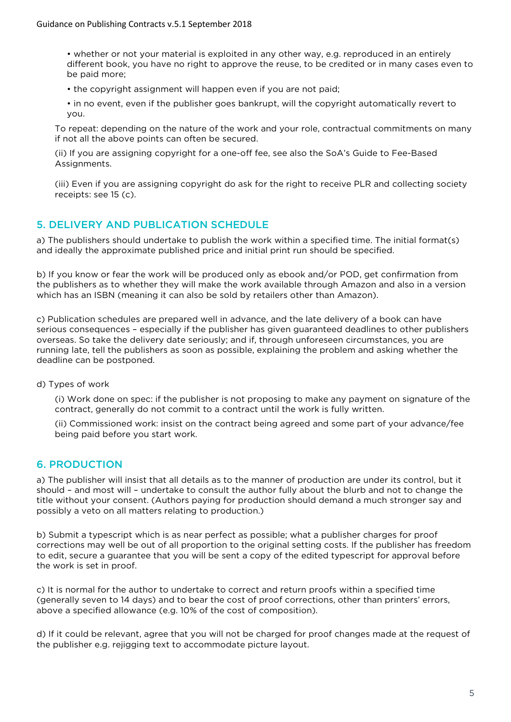• whether or not your material is exploited in any other way, e.g. reproduced in an entirely different book, you have no right to approve the reuse, to be credited or in many cases even to be paid more;

- the copyright assignment will happen even if you are not paid;
- in no event, even if the publisher goes bankrupt, will the copyright automatically revert to you.

To repeat: depending on the nature of the work and your role, contractual commitments on many if not all the above points can often be secured.

(ii) If you are assigning copyright for a one-off fee, see also the SoA's Guide to Fee-Based Assignments.

(iii) Even if you are assigning copyright do ask for the right to receive PLR and collecting society receipts: see 15 (c).

## 5. DELIVERY AND PUBLICATION SCHEDULE

a) The publishers should undertake to publish the work within a specified time. The initial format(s) and ideally the approximate published price and initial print run should be specified.

b) If you know or fear the work will be produced only as ebook and/or POD, get confirmation from the publishers as to whether they will make the work available through Amazon and also in a version which has an ISBN (meaning it can also be sold by retailers other than Amazon).

c) Publication schedules are prepared well in advance, and the late delivery of a book can have serious consequences – especially if the publisher has given guaranteed deadlines to other publishers overseas. So take the delivery date seriously; and if, through unforeseen circumstances, you are running late, tell the publishers as soon as possible, explaining the problem and asking whether the deadline can be postponed.

d) Types of work

(i) Work done on spec: if the publisher is not proposing to make any payment on signature of the contract, generally do not commit to a contract until the work is fully written.

(ii) Commissioned work: insist on the contract being agreed and some part of your advance/fee being paid before you start work.

# 6. PRODUCTION

a) The publisher will insist that all details as to the manner of production are under its control, but it should – and most will – undertake to consult the author fully about the blurb and not to change the title without your consent. (Authors paying for production should demand a much stronger say and possibly a veto on all matters relating to production.)

b) Submit a typescript which is as near perfect as possible; what a publisher charges for proof corrections may well be out of all proportion to the original setting costs. If the publisher has freedom to edit, secure a guarantee that you will be sent a copy of the edited typescript for approval before the work is set in proof.

c) It is normal for the author to undertake to correct and return proofs within a specified time (generally seven to 14 days) and to bear the cost of proof corrections, other than printers' errors, above a specified allowance (e.g. 10% of the cost of composition).

d) If it could be relevant, agree that you will not be charged for proof changes made at the request of the publisher e.g. rejigging text to accommodate picture layout.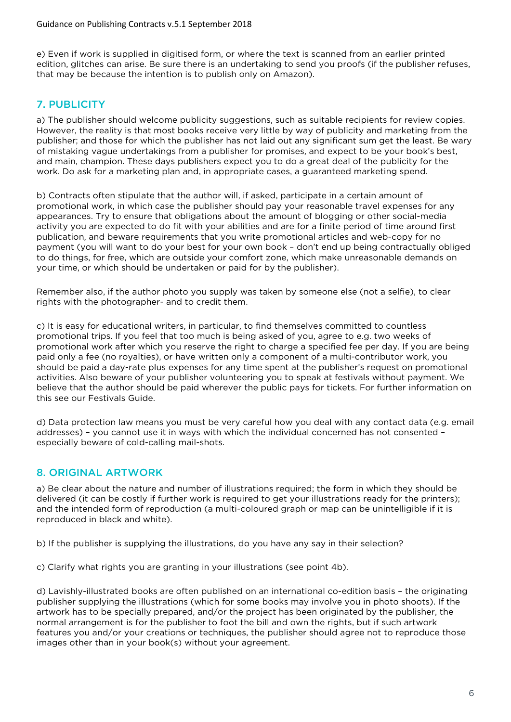e) Even if work is supplied in digitised form, or where the text is scanned from an earlier printed edition, glitches can arise. Be sure there is an undertaking to send you proofs (if the publisher refuses, that may be because the intention is to publish only on Amazon).

# 7. PUBLICITY

a) The publisher should welcome publicity suggestions, such as suitable recipients for review copies. However, the reality is that most books receive very little by way of publicity and marketing from the publisher; and those for which the publisher has not laid out any significant sum get the least. Be wary of mistaking vague undertakings from a publisher for promises, and expect to be your book's best, and main, champion. These days publishers expect you to do a great deal of the publicity for the work. Do ask for a marketing plan and, in appropriate cases, a guaranteed marketing spend.

b) Contracts often stipulate that the author will, if asked, participate in a certain amount of promotional work, in which case the publisher should pay your reasonable travel expenses for any appearances. Try to ensure that obligations about the amount of blogging or other social-media activity you are expected to do fit with your abilities and are for a finite period of time around first publication, and beware requirements that you write promotional articles and web-copy for no payment (you will want to do your best for your own book – don't end up being contractually obliged to do things, for free, which are outside your comfort zone, which make unreasonable demands on your time, or which should be undertaken or paid for by the publisher).

Remember also, if the author photo you supply was taken by someone else (not a selfie), to clear rights with the photographer- and to credit them.

c) It is easy for educational writers, in particular, to find themselves committed to countless promotional trips. If you feel that too much is being asked of you, agree to e.g. two weeks of promotional work after which you reserve the right to charge a specified fee per day. If you are being paid only a fee (no royalties), or have written only a component of a multi-contributor work, you should be paid a day-rate plus expenses for any time spent at the publisher's request on promotional activities. Also beware of your publisher volunteering you to speak at festivals without payment. We believe that the author should be paid wherever the public pays for tickets. For further information on this see our Festivals Guide.

d) Data protection law means you must be very careful how you deal with any contact data (e.g. email addresses) – you cannot use it in ways with which the individual concerned has not consented – especially beware of cold-calling mail-shots.

# 8. ORIGINAL ARTWORK

a) Be clear about the nature and number of illustrations required; the form in which they should be delivered (it can be costly if further work is required to get your illustrations ready for the printers); and the intended form of reproduction (a multi-coloured graph or map can be unintelligible if it is reproduced in black and white).

b) If the publisher is supplying the illustrations, do you have any say in their selection?

c) Clarify what rights you are granting in your illustrations (see point 4b).

d) Lavishly-illustrated books are often published on an international co-edition basis – the originating publisher supplying the illustrations (which for some books may involve you in photo shoots). If the artwork has to be specially prepared, and/or the project has been originated by the publisher, the normal arrangement is for the publisher to foot the bill and own the rights, but if such artwork features you and/or your creations or techniques, the publisher should agree not to reproduce those images other than in your book(s) without your agreement.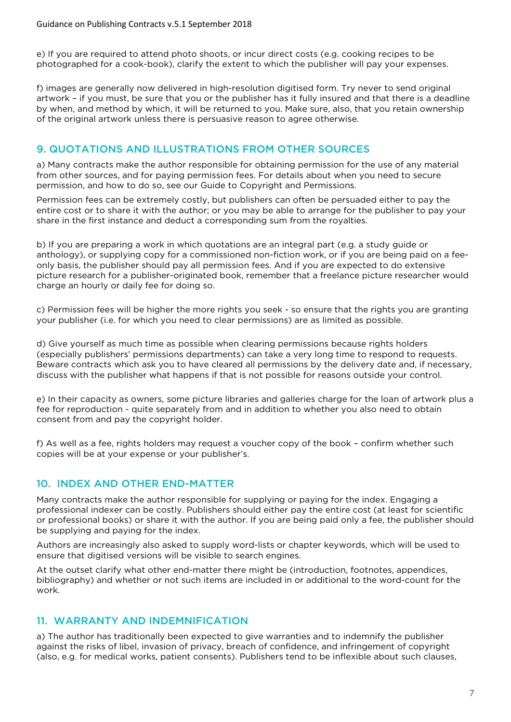e) If you are required to attend photo shoots, or incur direct costs (e.g. cooking recipes to be photographed for a cook-book), clarify the extent to which the publisher will pay your expenses.

f) images are generally now delivered in high-resolution digitised form. Try never to send original artwork – if you must, be sure that you or the publisher has it fully insured and that there is a deadline by when, and method by which, it will be returned to you. Make sure, also, that you retain ownership of the original artwork unless there is persuasive reason to agree otherwise.

#### 9. QUOTATIONS AND ILLUSTRATIONS FROM OTHER SOURCES

a) Many contracts make the author responsible for obtaining permission for the use of any material from other sources, and for paying permission fees. For details about when you need to secure permission, and how to do so, see our Guide to Copyright and Permissions.

Permission fees can be extremely costly, but publishers can often be persuaded either to pay the entire cost or to share it with the author; or you may be able to arrange for the publisher to pay your share in the first instance and deduct a corresponding sum from the royalties.

b) If you are preparing a work in which quotations are an integral part (e.g. a study guide or anthology), or supplying copy for a commissioned non-fiction work, or if you are being paid on a feeonly basis, the publisher should pay all permission fees. And if you are expected to do extensive picture research for a publisher-originated book, remember that a freelance picture researcher would charge an hourly or daily fee for doing so.

c) Permission fees will be higher the more rights you seek - so ensure that the rights you are granting your publisher (i.e. for which you need to clear permissions) are as limited as possible.

d) Give yourself as much time as possible when clearing permissions because rights holders (especially publishers' permissions departments) can take a very long time to respond to requests. Beware contracts which ask you to have cleared all permissions by the delivery date and, if necessary, discuss with the publisher what happens if that is not possible for reasons outside your control.

e) In their capacity as owners, some picture libraries and galleries charge for the loan of artwork plus a fee for reproduction - quite separately from and in addition to whether you also need to obtain consent from and pay the copyright holder.

f) As well as a fee, rights holders may request a voucher copy of the book – confirm whether such copies will be at your expense or your publisher's.

## 10. INDEX AND OTHER END-MATTER

Many contracts make the author responsible for supplying or paying for the index. Engaging a professional indexer can be costly. Publishers should either pay the entire cost (at least for scientific or professional books) or share it with the author. If you are being paid only a fee, the publisher should be supplying and paying for the index.

Authors are increasingly also asked to supply word-lists or chapter keywords, which will be used to ensure that digitised versions will be visible to search engines.

At the outset clarify what other end-matter there might be (introduction, footnotes, appendices, bibliography) and whether or not such items are included in or additional to the word-count for the work.

#### 11. WARRANTY AND INDEMNIFICATION

a) The author has traditionally been expected to give warranties and to indemnify the publisher against the risks of libel, invasion of privacy, breach of confidence, and infringement of copyright (also, e.g. for medical works, patient consents). Publishers tend to be inflexible about such clauses,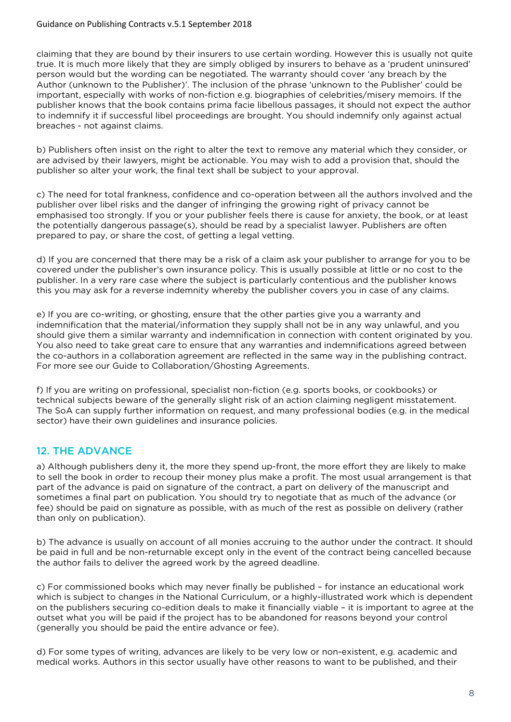claiming that they are bound by their insurers to use certain wording. However this is usually not quite true. It is much more likely that they are simply obliged by insurers to behave as a 'prudent uninsured' person would but the wording can be negotiated. The warranty should cover 'any breach by the Author (unknown to the Publisher)'. The inclusion of the phrase 'unknown to the Publisher' could be important, especially with works of non-fiction e.g. biographies of celebrities/misery memoirs. If the publisher knows that the book contains prima facie libellous passages, it should not expect the author to indemnify it if successful libel proceedings are brought. You should indemnify only against actual breaches - not against claims.

b) Publishers often insist on the right to alter the text to remove any material which they consider, or are advised by their lawyers, might be actionable. You may wish to add a provision that, should the publisher so alter your work, the final text shall be subject to your approval.

c) The need for total frankness, confidence and co-operation between all the authors involved and the publisher over libel risks and the danger of infringing the growing right of privacy cannot be emphasised too strongly. If you or your publisher feels there is cause for anxiety, the book, or at least the potentially dangerous passage(s), should be read by a specialist lawyer. Publishers are often prepared to pay, or share the cost, of getting a legal vetting.

d) If you are concerned that there may be a risk of a claim ask your publisher to arrange for you to be covered under the publisher's own insurance policy. This is usually possible at little or no cost to the publisher. In a very rare case where the subject is particularly contentious and the publisher knows this you may ask for a reverse indemnity whereby the publisher covers you in case of any claims.

e) If you are co-writing, or ghosting, ensure that the other parties give you a warranty and indemnification that the material/information they supply shall not be in any way unlawful, and you should give them a similar warranty and indemnification in connection with content originated by you. You also need to take great care to ensure that any warranties and indemnifications agreed between the co-authors in a collaboration agreement are reflected in the same way in the publishing contract. For more see our Guide to Collaboration/Ghosting Agreements.

f) If you are writing on professional, specialist non-fiction (e.g. sports books, or cookbooks) or technical subjects beware of the generally slight risk of an action claiming negligent misstatement. The SoA can supply further information on request, and many professional bodies (e.g. in the medical sector) have their own guidelines and insurance policies.

# 12. THE ADVANCE

a) Although publishers deny it, the more they spend up-front, the more effort they are likely to make to sell the book in order to recoup their money plus make a profit. The most usual arrangement is that part of the advance is paid on signature of the contract, a part on delivery of the manuscript and sometimes a final part on publication. You should try to negotiate that as much of the advance (or fee) should be paid on signature as possible, with as much of the rest as possible on delivery (rather than only on publication).

b) The advance is usually on account of all monies accruing to the author under the contract. It should be paid in full and be non-returnable except only in the event of the contract being cancelled because the author fails to deliver the agreed work by the agreed deadline.

c) For commissioned books which may never finally be published – for instance an educational work which is subject to changes in the National Curriculum, or a highly-illustrated work which is dependent on the publishers securing co-edition deals to make it financially viable – it is important to agree at the outset what you will be paid if the project has to be abandoned for reasons beyond your control (generally you should be paid the entire advance or fee).

d) For some types of writing, advances are likely to be very low or non-existent, e.g. academic and medical works. Authors in this sector usually have other reasons to want to be published, and their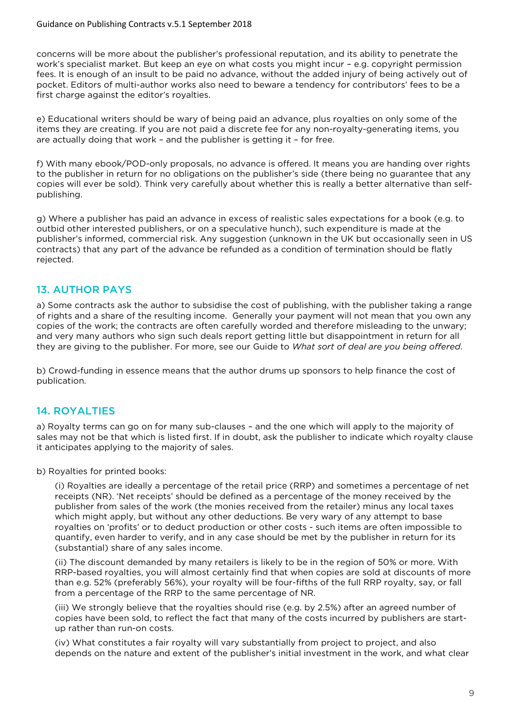concerns will be more about the publisher's professional reputation, and its ability to penetrate the work's specialist market. But keep an eye on what costs you might incur – e.g. copyright permission fees. It is enough of an insult to be paid no advance, without the added injury of being actively out of pocket. Editors of multi-author works also need to beware a tendency for contributors' fees to be a first charge against the editor's royalties.

e) Educational writers should be wary of being paid an advance, plus royalties on only some of the items they are creating. If you are not paid a discrete fee for any non-royalty-generating items, you are actually doing that work – and the publisher is getting it – for free.

f) With many ebook/POD-only proposals, no advance is offered. It means you are handing over rights to the publisher in return for no obligations on the publisher's side (there being no guarantee that any copies will ever be sold). Think very carefully about whether this is really a better alternative than selfpublishing.

g) Where a publisher has paid an advance in excess of realistic sales expectations for a book (e.g. to outbid other interested publishers, or on a speculative hunch), such expenditure is made at the publisher's informed, commercial risk. Any suggestion (unknown in the UK but occasionally seen in US contracts) that any part of the advance be refunded as a condition of termination should be flatly rejected.

## 13. AUTHOR PAYS

a) Some contracts ask the author to subsidise the cost of publishing, with the publisher taking a range of rights and a share of the resulting income. Generally your payment will not mean that you own any copies of the work; the contracts are often carefully worded and therefore misleading to the unwary; and very many authors who sign such deals report getting little but disappointment in return for all they are giving to the publisher. For more, see our Guide to *What sort of deal are you being offered*.

b) Crowd-funding in essence means that the author drums up sponsors to help finance the cost of publication.

# 14. ROYALTIES

a) Royalty terms can go on for many sub-clauses – and the one which will apply to the majority of sales may not be that which is listed first. If in doubt, ask the publisher to indicate which royalty clause it anticipates applying to the majority of sales.

b) Royalties for printed books:

(i) Royalties are ideally a percentage of the retail price (RRP) and sometimes a percentage of net receipts (NR). 'Net receipts' should be defined as a percentage of the money received by the publisher from sales of the work (the monies received from the retailer) minus any local taxes which might apply, but without any other deductions. Be very wary of any attempt to base royalties on 'profits' or to deduct production or other costs - such items are often impossible to quantify, even harder to verify, and in any case should be met by the publisher in return for its (substantial) share of any sales income.

(ii) The discount demanded by many retailers is likely to be in the region of 50% or more. With RRP-based royalties, you will almost certainly find that when copies are sold at discounts of more than e.g. 52% (preferably 56%), your royalty will be four-fifths of the full RRP royalty, say, or fall from a percentage of the RRP to the same percentage of NR.

(iii) We strongly believe that the royalties should rise (e.g. by 2.5%) after an agreed number of copies have been sold, to reflect the fact that many of the costs incurred by publishers are startup rather than run-on costs.

(iv) What constitutes a fair royalty will vary substantially from project to project, and also depends on the nature and extent of the publisher's initial investment in the work, and what clear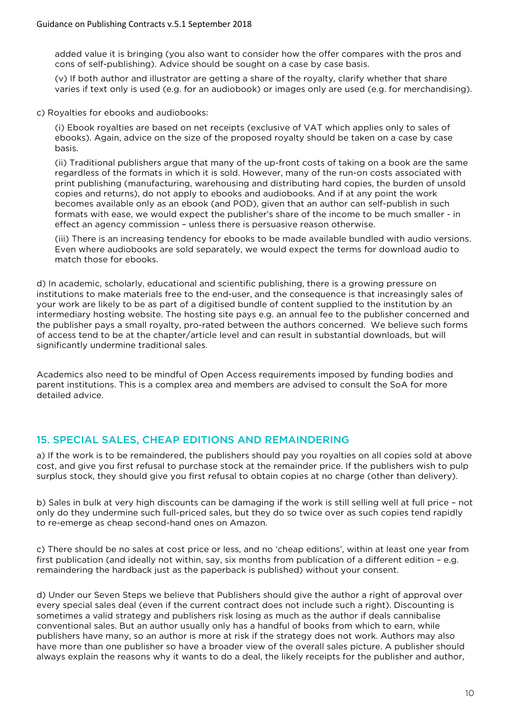added value it is bringing (you also want to consider how the offer compares with the pros and cons of self-publishing). Advice should be sought on a case by case basis.

(v) If both author and illustrator are getting a share of the royalty, clarify whether that share varies if text only is used (e.g. for an audiobook) or images only are used (e.g. for merchandising).

c) Royalties for ebooks and audiobooks:

(i) Ebook royalties are based on net receipts (exclusive of VAT which applies only to sales of ebooks). Again, advice on the size of the proposed royalty should be taken on a case by case basis.

(ii) Traditional publishers argue that many of the up-front costs of taking on a book are the same regardless of the formats in which it is sold. However, many of the run-on costs associated with print publishing (manufacturing, warehousing and distributing hard copies, the burden of unsold copies and returns), do not apply to ebooks and audiobooks. And if at any point the work becomes available only as an ebook (and POD), given that an author can self-publish in such formats with ease, we would expect the publisher's share of the income to be much smaller - in effect an agency commission – unless there is persuasive reason otherwise.

(iii) There is an increasing tendency for ebooks to be made available bundled with audio versions. Even where audiobooks are sold separately, we would expect the terms for download audio to match those for ebooks.

d) In academic, scholarly, educational and scientific publishing, there is a growing pressure on institutions to make materials free to the end-user, and the consequence is that increasingly sales of your work are likely to be as part of a digitised bundle of content supplied to the institution by an intermediary hosting website. The hosting site pays e.g. an annual fee to the publisher concerned and the publisher pays a small royalty, pro-rated between the authors concerned. We believe such forms of access tend to be at the chapter/article level and can result in substantial downloads, but will significantly undermine traditional sales.

Academics also need to be mindful of Open Access requirements imposed by funding bodies and parent institutions. This is a complex area and members are advised to consult the SoA for more detailed advice.

## 15. SPECIAL SALES, CHEAP EDITIONS AND REMAINDERING

a) If the work is to be remaindered, the publishers should pay you royalties on all copies sold at above cost, and give you first refusal to purchase stock at the remainder price. If the publishers wish to pulp surplus stock, they should give you first refusal to obtain copies at no charge (other than delivery).

b) Sales in bulk at very high discounts can be damaging if the work is still selling well at full price – not only do they undermine such full-priced sales, but they do so twice over as such copies tend rapidly to re-emerge as cheap second-hand ones on Amazon.

c) There should be no sales at cost price or less, and no 'cheap editions', within at least one year from first publication (and ideally not within, say, six months from publication of a different edition – e.g. remaindering the hardback just as the paperback is published) without your consent.

d) Under our Seven Steps we believe that Publishers should give the author a right of approval over every special sales deal (even if the current contract does not include such a right). Discounting is sometimes a valid strategy and publishers risk losing as much as the author if deals cannibalise conventional sales. But an author usually only has a handful of books from which to earn, while publishers have many, so an author is more at risk if the strategy does not work. Authors may also have more than one publisher so have a broader view of the overall sales picture. A publisher should always explain the reasons why it wants to do a deal, the likely receipts for the publisher and author,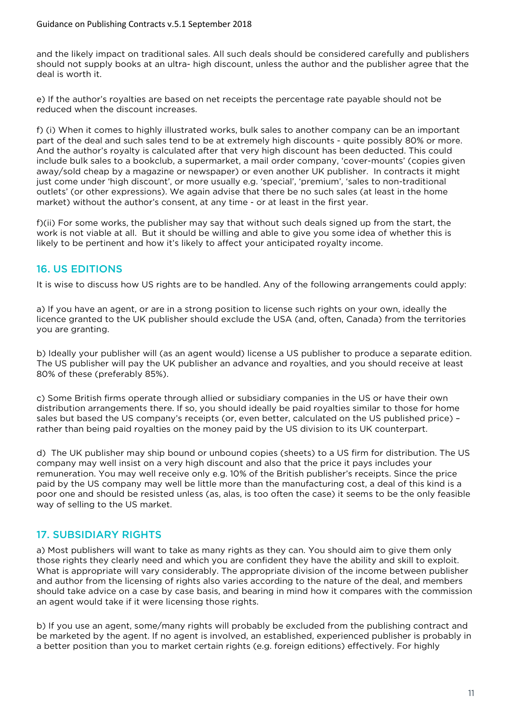and the likely impact on traditional sales. All such deals should be considered carefully and publishers should not supply books at an ultra- high discount, unless the author and the publisher agree that the deal is worth it.

e) If the author's royalties are based on net receipts the percentage rate payable should not be reduced when the discount increases.

f) (i) When it comes to highly illustrated works, bulk sales to another company can be an important part of the deal and such sales tend to be at extremely high discounts - quite possibly 80% or more. And the author's royalty is calculated after that very high discount has been deducted. This could include bulk sales to a bookclub, a supermarket, a mail order company, 'cover-mounts' (copies given away/sold cheap by a magazine or newspaper) or even another UK publisher. In contracts it might just come under 'high discount', or more usually e.g. 'special', 'premium', 'sales to non-traditional outlets' (or other expressions). We again advise that there be no such sales (at least in the home market) without the author's consent, at any time - or at least in the first year.

f)(ii) For some works, the publisher may say that without such deals signed up from the start, the work is not viable at all. But it should be willing and able to give you some idea of whether this is likely to be pertinent and how it's likely to affect your anticipated royalty income.

# 16. US EDITIONS

It is wise to discuss how US rights are to be handled. Any of the following arrangements could apply:

a) If you have an agent, or are in a strong position to license such rights on your own, ideally the licence granted to the UK publisher should exclude the USA (and, often, Canada) from the territories you are granting.

b) Ideally your publisher will (as an agent would) license a US publisher to produce a separate edition. The US publisher will pay the UK publisher an advance and royalties, and you should receive at least 80% of these (preferably 85%).

c) Some British firms operate through allied or subsidiary companies in the US or have their own distribution arrangements there. If so, you should ideally be paid royalties similar to those for home sales but based the US company's receipts (or, even better, calculated on the US published price) – rather than being paid royalties on the money paid by the US division to its UK counterpart.

d) The UK publisher may ship bound or unbound copies (sheets) to a US firm for distribution. The US company may well insist on a very high discount and also that the price it pays includes your remuneration. You may well receive only e.g. 10% of the British publisher's receipts. Since the price paid by the US company may well be little more than the manufacturing cost, a deal of this kind is a poor one and should be resisted unless (as, alas, is too often the case) it seems to be the only feasible way of selling to the US market.

# 17. SUBSIDIARY RIGHTS

a) Most publishers will want to take as many rights as they can. You should aim to give them only those rights they clearly need and which you are confident they have the ability and skill to exploit. What is appropriate will vary considerably. The appropriate division of the income between publisher and author from the licensing of rights also varies according to the nature of the deal, and members should take advice on a case by case basis, and bearing in mind how it compares with the commission an agent would take if it were licensing those rights.

b) If you use an agent, some/many rights will probably be excluded from the publishing contract and be marketed by the agent. If no agent is involved, an established, experienced publisher is probably in a better position than you to market certain rights (e.g. foreign editions) effectively. For highly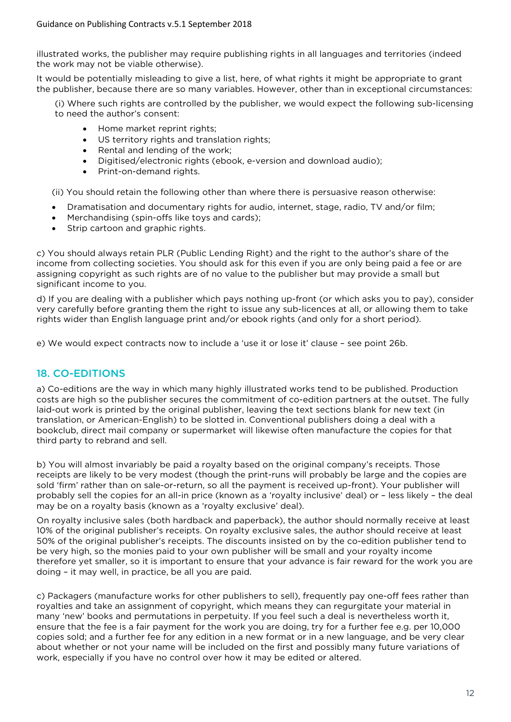illustrated works, the publisher may require publishing rights in all languages and territories (indeed the work may not be viable otherwise).

It would be potentially misleading to give a list, here, of what rights it might be appropriate to grant the publisher, because there are so many variables. However, other than in exceptional circumstances:

(i) Where such rights are controlled by the publisher, we would expect the following sub-licensing to need the author's consent:

- Home market reprint rights;
- US territory rights and translation rights;
- Rental and lending of the work;
- Digitised/electronic rights (ebook, e-version and download audio);
- Print-on-demand rights.

(ii) You should retain the following other than where there is persuasive reason otherwise:

- Dramatisation and documentary rights for audio, internet, stage, radio, TV and/or film;
- Merchandising (spin-offs like toys and cards);
- Strip cartoon and graphic rights.

c) You should always retain PLR (Public Lending Right) and the right to the author's share of the income from collecting societies. You should ask for this even if you are only being paid a fee or are assigning copyright as such rights are of no value to the publisher but may provide a small but significant income to you.

d) If you are dealing with a publisher which pays nothing up-front (or which asks you to pay), consider very carefully before granting them the right to issue any sub-licences at all, or allowing them to take rights wider than English language print and/or ebook rights (and only for a short period).

e) We would expect contracts now to include a 'use it or lose it' clause – see point 26b.

## 18. CO-EDITIONS

a) Co-editions are the way in which many highly illustrated works tend to be published. Production costs are high so the publisher secures the commitment of co-edition partners at the outset. The fully laid-out work is printed by the original publisher, leaving the text sections blank for new text (in translation, or American-English) to be slotted in. Conventional publishers doing a deal with a bookclub, direct mail company or supermarket will likewise often manufacture the copies for that third party to rebrand and sell.

b) You will almost invariably be paid a royalty based on the original company's receipts. Those receipts are likely to be very modest (though the print-runs will probably be large and the copies are sold 'firm' rather than on sale-or-return, so all the payment is received up-front). Your publisher will probably sell the copies for an all-in price (known as a 'royalty inclusive' deal) or – less likely – the deal may be on a royalty basis (known as a 'royalty exclusive' deal).

On royalty inclusive sales (both hardback and paperback), the author should normally receive at least 10% of the original publisher's receipts. On royalty exclusive sales, the author should receive at least 50% of the original publisher's receipts. The discounts insisted on by the co-edition publisher tend to be very high, so the monies paid to your own publisher will be small and your royalty income therefore yet smaller, so it is important to ensure that your advance is fair reward for the work you are doing – it may well, in practice, be all you are paid.

c) Packagers (manufacture works for other publishers to sell), frequently pay one-off fees rather than royalties and take an assignment of copyright, which means they can regurgitate your material in many 'new' books and permutations in perpetuity. If you feel such a deal is nevertheless worth it, ensure that the fee is a fair payment for the work you are doing, try for a further fee e.g. per 10,000 copies sold; and a further fee for any edition in a new format or in a new language, and be very clear about whether or not your name will be included on the first and possibly many future variations of work, especially if you have no control over how it may be edited or altered.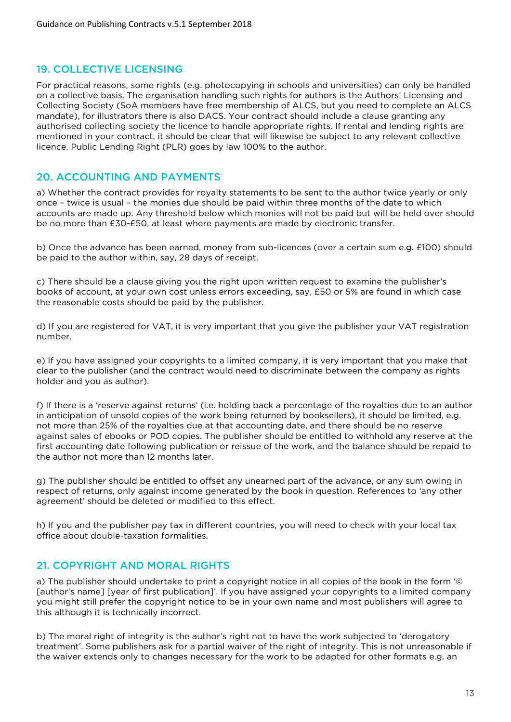# 19. COLLECTIVE LICENSING

For practical reasons, some rights (e.g. photocopying in schools and universities) can only be handled on a collective basis. The organisation handling such rights for authors is the Authors' Licensing and Collecting Society (SoA members have free membership of ALCS, but you need to complete an ALCS mandate), for illustrators there is also DACS. Your contract should include a clause granting any authorised collecting society the licence to handle appropriate rights. If rental and lending rights are mentioned in your contract, it should be clear that will likewise be subject to any relevant collective licence. Public Lending Right (PLR) goes by law 100% to the author.

## 20. ACCOUNTING AND PAYMENTS

a) Whether the contract provides for royalty statements to be sent to the author twice yearly or only once – twice is usual – the monies due should be paid within three months of the date to which accounts are made up. Any threshold below which monies will not be paid but will be held over should be no more than £30-£50, at least where payments are made by electronic transfer.

b) Once the advance has been earned, money from sub-licences (over a certain sum e.g. £100) should be paid to the author within, say, 28 days of receipt.

c) There should be a clause giving you the right upon written request to examine the publisher's books of account, at your own cost unless errors exceeding, say, £50 or 5% are found in which case the reasonable costs should be paid by the publisher.

d) If you are registered for VAT, it is very important that you give the publisher your VAT registration number.

e) If you have assigned your copyrights to a limited company, it is very important that you make that clear to the publisher (and the contract would need to discriminate between the company as rights holder and you as author).

f) If there is a 'reserve against returns' (i.e. holding back a percentage of the royalties due to an author in anticipation of unsold copies of the work being returned by booksellers), it should be limited, e.g. not more than 25% of the royalties due at that accounting date, and there should be no reserve against sales of ebooks or POD copies. The publisher should be entitled to withhold any reserve at the first accounting date following publication or reissue of the work, and the balance should be repaid to the author not more than 12 months later.

g) The publisher should be entitled to offset any unearned part of the advance, or any sum owing in respect of returns, only against income generated by the book in question. References to 'any other agreement' should be deleted or modified to this effect.

h) If you and the publisher pay tax in different countries, you will need to check with your local tax office about double-taxation formalities.

## 21. COPYRIGHT AND MORAL RIGHTS

a) The publisher should undertake to print a copyright notice in all copies of the book in the form '© [author's name] [year of first publication]'. If you have assigned your copyrights to a limited company you might still prefer the copyright notice to be in your own name and most publishers will agree to this although it is technically incorrect.

b) The moral right of integrity is the author's right not to have the work subjected to 'derogatory treatment'. Some publishers ask for a partial waiver of the right of integrity. This is not unreasonable if the waiver extends only to changes necessary for the work to be adapted for other formats e.g. an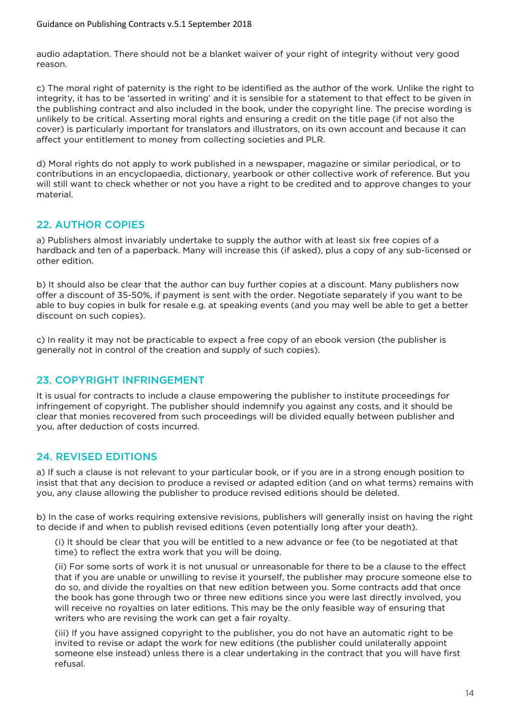audio adaptation. There should not be a blanket waiver of your right of integrity without very good reason.

c) The moral right of paternity is the right to be identified as the author of the work. Unlike the right to integrity, it has to be 'asserted in writing' and it is sensible for a statement to that effect to be given in the publishing contract and also included in the book, under the copyright line. The precise wording is unlikely to be critical. Asserting moral rights and ensuring a credit on the title page (if not also the cover) is particularly important for translators and illustrators, on its own account and because it can affect your entitlement to money from collecting societies and PLR.

d) Moral rights do not apply to work published in a newspaper, magazine or similar periodical, or to contributions in an encyclopaedia, dictionary, yearbook or other collective work of reference. But you will still want to check whether or not you have a right to be credited and to approve changes to your material.

# 22. AUTHOR COPIES

a) Publishers almost invariably undertake to supply the author with at least six free copies of a hardback and ten of a paperback. Many will increase this (if asked), plus a copy of any sub-licensed or other edition.

b) It should also be clear that the author can buy further copies at a discount. Many publishers now offer a discount of 35-50%, if payment is sent with the order. Negotiate separately if you want to be able to buy copies in bulk for resale e.g. at speaking events (and you may well be able to get a better discount on such copies).

c) In reality it may not be practicable to expect a free copy of an ebook version (the publisher is generally not in control of the creation and supply of such copies).

## 23. COPYRIGHT INFRINGEMENT

It is usual for contracts to include a clause empowering the publisher to institute proceedings for infringement of copyright. The publisher should indemnify you against any costs, and it should be clear that monies recovered from such proceedings will be divided equally between publisher and you, after deduction of costs incurred.

# 24. REVISED EDITIONS

a) If such a clause is not relevant to your particular book, or if you are in a strong enough position to insist that that any decision to produce a revised or adapted edition (and on what terms) remains with you, any clause allowing the publisher to produce revised editions should be deleted.

b) In the case of works requiring extensive revisions, publishers will generally insist on having the right to decide if and when to publish revised editions (even potentially long after your death).

(i) It should be clear that you will be entitled to a new advance or fee (to be negotiated at that time) to reflect the extra work that you will be doing.

(ii) For some sorts of work it is not unusual or unreasonable for there to be a clause to the effect that if you are unable or unwilling to revise it yourself, the publisher may procure someone else to do so, and divide the royalties on that new edition between you. Some contracts add that once the book has gone through two or three new editions since you were last directly involved, you will receive no royalties on later editions. This may be the only feasible way of ensuring that writers who are revising the work can get a fair royalty.

(iii) If you have assigned copyright to the publisher, you do not have an automatic right to be invited to revise or adapt the work for new editions (the publisher could unilaterally appoint someone else instead) unless there is a clear undertaking in the contract that you will have first refusal.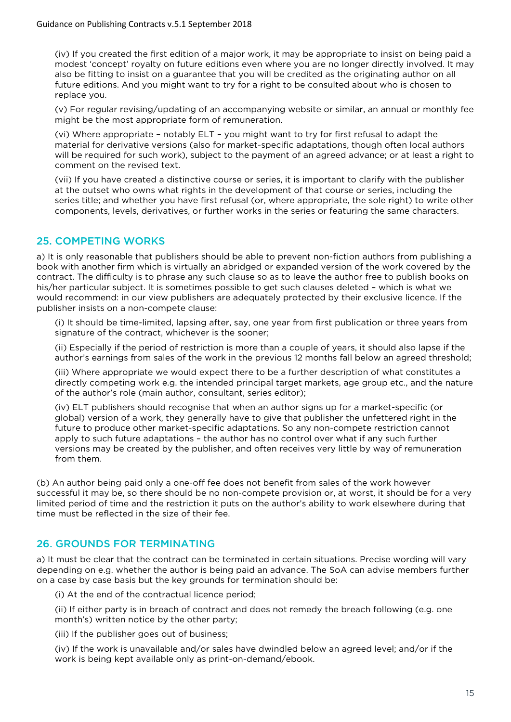(iv) If you created the first edition of a major work, it may be appropriate to insist on being paid a modest 'concept' royalty on future editions even where you are no longer directly involved. It may also be fitting to insist on a guarantee that you will be credited as the originating author on all future editions. And you might want to try for a right to be consulted about who is chosen to replace you.

(v) For regular revising/updating of an accompanying website or similar, an annual or monthly fee might be the most appropriate form of remuneration.

(vi) Where appropriate – notably ELT – you might want to try for first refusal to adapt the material for derivative versions (also for market-specific adaptations, though often local authors will be required for such work), subject to the payment of an agreed advance; or at least a right to comment on the revised text.

(vii) If you have created a distinctive course or series, it is important to clarify with the publisher at the outset who owns what rights in the development of that course or series, including the series title; and whether you have first refusal (or, where appropriate, the sole right) to write other components, levels, derivatives, or further works in the series or featuring the same characters.

# 25. COMPETING WORKS

a) It is only reasonable that publishers should be able to prevent non-fiction authors from publishing a book with another firm which is virtually an abridged or expanded version of the work covered by the contract. The difficulty is to phrase any such clause so as to leave the author free to publish books on his/her particular subject. It is sometimes possible to get such clauses deleted – which is what we would recommend: in our view publishers are adequately protected by their exclusive licence. If the publisher insists on a non-compete clause:

(i) It should be time-limited, lapsing after, say, one year from first publication or three years from signature of the contract, whichever is the sooner;

(ii) Especially if the period of restriction is more than a couple of years, it should also lapse if the author's earnings from sales of the work in the previous 12 months fall below an agreed threshold;

(iii) Where appropriate we would expect there to be a further description of what constitutes a directly competing work e.g. the intended principal target markets, age group etc., and the nature of the author's role (main author, consultant, series editor);

(iv) ELT publishers should recognise that when an author signs up for a market-specific (or global) version of a work, they generally have to give that publisher the unfettered right in the future to produce other market-specific adaptations. So any non-compete restriction cannot apply to such future adaptations – the author has no control over what if any such further versions may be created by the publisher, and often receives very little by way of remuneration from them.

(b) An author being paid only a one-off fee does not benefit from sales of the work however successful it may be, so there should be no non-compete provision or, at worst, it should be for a very limited period of time and the restriction it puts on the author's ability to work elsewhere during that time must be reflected in the size of their fee.

# 26. GROUNDS FOR TERMINATING

a) It must be clear that the contract can be terminated in certain situations. Precise wording will vary depending on e.g. whether the author is being paid an advance. The SoA can advise members further on a case by case basis but the key grounds for termination should be:

(i) At the end of the contractual licence period;

(ii) If either party is in breach of contract and does not remedy the breach following (e.g. one month's) written notice by the other party;

(iii) If the publisher goes out of business;

(iv) If the work is unavailable and/or sales have dwindled below an agreed level; and/or if the work is being kept available only as print-on-demand/ebook.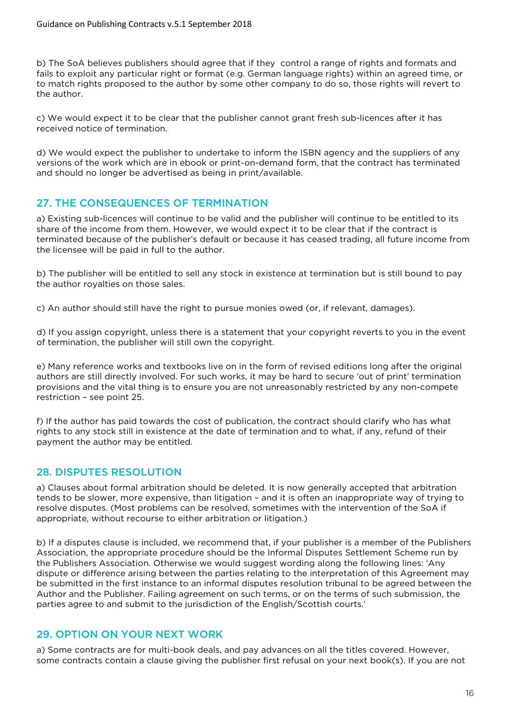b) The SoA believes publishers should agree that if they control a range of rights and formats and fails to exploit any particular right or format (e.g. German language rights) within an agreed time, or to match rights proposed to the author by some other company to do so, those rights will revert to the author.

c) We would expect it to be clear that the publisher cannot grant fresh sub-licences after it has received notice of termination.

d) We would expect the publisher to undertake to inform the ISBN agency and the suppliers of any versions of the work which are in ebook or print-on-demand form, that the contract has terminated and should no longer be advertised as being in print/available.

## 27. THE CONSEQUENCES OF TERMINATION

a) Existing sub-licences will continue to be valid and the publisher will continue to be entitled to its share of the income from them. However, we would expect it to be clear that if the contract is terminated because of the publisher's default or because it has ceased trading, all future income from the licensee will be paid in full to the author.

b) The publisher will be entitled to sell any stock in existence at termination but is still bound to pay the author royalties on those sales.

c) An author should still have the right to pursue monies owed (or, if relevant, damages).

d) If you assign copyright, unless there is a statement that your copyright reverts to you in the event of termination, the publisher will still own the copyright.

e) Many reference works and textbooks live on in the form of revised editions long after the original authors are still directly involved. For such works, it may be hard to secure 'out of print' termination provisions and the vital thing is to ensure you are not unreasonably restricted by any non-compete restriction – see point 25.

f) If the author has paid towards the cost of publication, the contract should clarify who has what rights to any stock still in existence at the date of termination and to what, if any, refund of their payment the author may be entitled.

## 28. DISPUTES RESOLUTION

a) Clauses about formal arbitration should be deleted. It is now generally accepted that arbitration tends to be slower, more expensive, than litigation – and it is often an inappropriate way of trying to resolve disputes. (Most problems can be resolved, sometimes with the intervention of the SoA if appropriate, without recourse to either arbitration or litigation.)

b) If a disputes clause is included, we recommend that, if your publisher is a member of the Publishers Association, the appropriate procedure should be the Informal Disputes Settlement Scheme run by the Publishers Association. Otherwise we would suggest wording along the following lines: 'Any dispute or difference arising between the parties relating to the interpretation of this Agreement may be submitted in the first instance to an informal disputes resolution tribunal to be agreed between the Author and the Publisher. Failing agreement on such terms, or on the terms of such submission, the parties agree to and submit to the jurisdiction of the English/Scottish courts.'

## 29. OPTION ON YOUR NEXT WORK

a) Some contracts are for multi-book deals, and pay advances on all the titles covered. However, some contracts contain a clause giving the publisher first refusal on your next book(s). If you are not